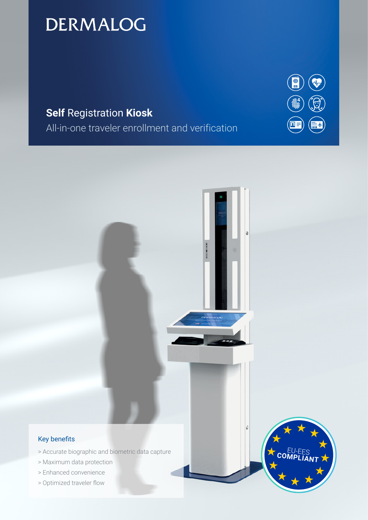# **DERMALOG**

## **Self** Registration **Kiosk**

All-in-one traveler enrollment and verification



COMP



### Key benefits

- > Accurate biographic and biometric data capture
- > Maximum data protection
- > Enhanced convenience
- > Optimized traveler flow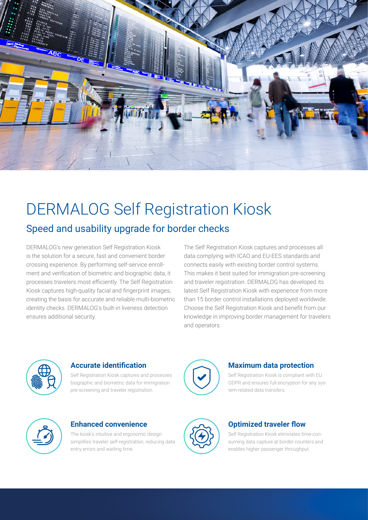

## DERMALOG Self Registration Kiosk Speed and usability upgrade for border checks

DERMALOG's new generation Self Registration Kiosk is the solution for a secure, fast and convenient border crossing experience. By performing self-service enrollment and verification of biometric and biographic data, it processes travelers most efficiently. The Self Registration Kiosk captures high-quality facial and fingerprint images, creating the basis for accurate and reliable multi-biometric identity checks. DERMALOG's built-in liveness detection ensures additional security.

The Self Registration Kiosk captures and processes all data complying with ICAO and EU-EES standards and connects easily with existing border control systems. This makes it best suited for immigration pre-screening and traveler registration. DERMALOG has developed its latest Self Registration Kiosk with experience from more than 15 border control installations deployed worldwide. Choose the Self Registration Kiosk and benefit from our knowledge in improving border management for travelers and operators.



## **Accurate identification**

Self Registration Kiosk captures and processes biographic and biometric data for immigration pre-screening and traveler registration.



## **Maximum data protection**

Self Registration Kiosk is compliant with EU GDPR and ensures full encryption for any system-related data transfers.



### **Enhanced convenience**

The kiosk's intuitive and ergonomic design simplifies traveler self-registration, reducing data entry errors and waiting time.



## **Optimized traveler flow**

Self Registration Kiosk eliminates time-consuming data capture at border counters and enables higher passenger throughput.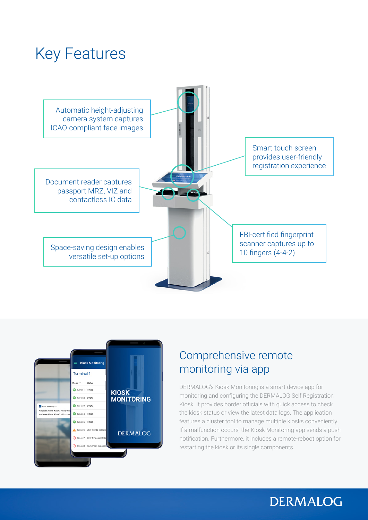# Key Features





## Comprehensive remote monitoring via app

DERMALOG's Kiosk Monitoring is a smart device app for monitoring and configuring the DERMALOG Self Registration Kiosk. It provides border officials with quick access to check the kiosk status or view the latest data logs. The application features a cluster tool to manage multiple kiosks conveniently. If a malfunction occurs, the Kiosk Monitoring app sends a push notification. Furthermore, it includes a remote-reboot option for restarting the kiosk or its single components.